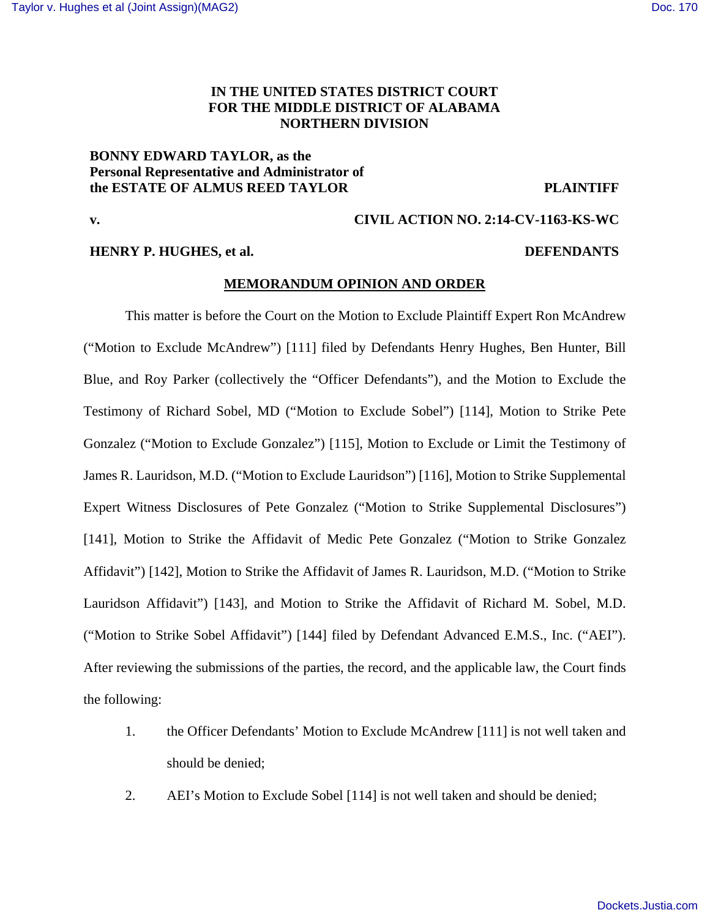## **IN THE UNITED STATES DISTRICT COURT FOR THE MIDDLE DISTRICT OF ALABAMA NORTHERN DIVISION**

## **BONNY EDWARD TAYLOR, as the Personal Representative and Administrator of the ESTATE OF ALMUS REED TAYLOR PLAINTIFF**

## **HENRY P. HUGHES, et al. DEFENDANTS**

# **v. CIVIL ACTION NO. 2:14-CV-1163-KS-WC**

## **MEMORANDUM OPINION AND ORDER**

 This matter is before the Court on the Motion to Exclude Plaintiff Expert Ron McAndrew ("Motion to Exclude McAndrew") [111] filed by Defendants Henry Hughes, Ben Hunter, Bill Blue, and Roy Parker (collectively the "Officer Defendants"), and the Motion to Exclude the Testimony of Richard Sobel, MD ("Motion to Exclude Sobel") [114], Motion to Strike Pete Gonzalez ("Motion to Exclude Gonzalez") [115], Motion to Exclude or Limit the Testimony of James R. Lauridson, M.D. ("Motion to Exclude Lauridson") [116], Motion to Strike Supplemental Expert Witness Disclosures of Pete Gonzalez ("Motion to Strike Supplemental Disclosures") [141], Motion to Strike the Affidavit of Medic Pete Gonzalez ("Motion to Strike Gonzalez Affidavit") [142], Motion to Strike the Affidavit of James R. Lauridson, M.D. ("Motion to Strike Lauridson Affidavit") [143], and Motion to Strike the Affidavit of Richard M. Sobel, M.D. ("Motion to Strike Sobel Affidavit") [144] filed by Defendant Advanced E.M.S., Inc. ("AEI"). After reviewing the submissions of the parties, the record, and the applicable law, the Court finds the following:

- 1. the Officer Defendants' Motion to Exclude McAndrew [111] is not well taken and should be denied;
- 2. AEI's Motion to Exclude Sobel [114] is not well taken and should be denied;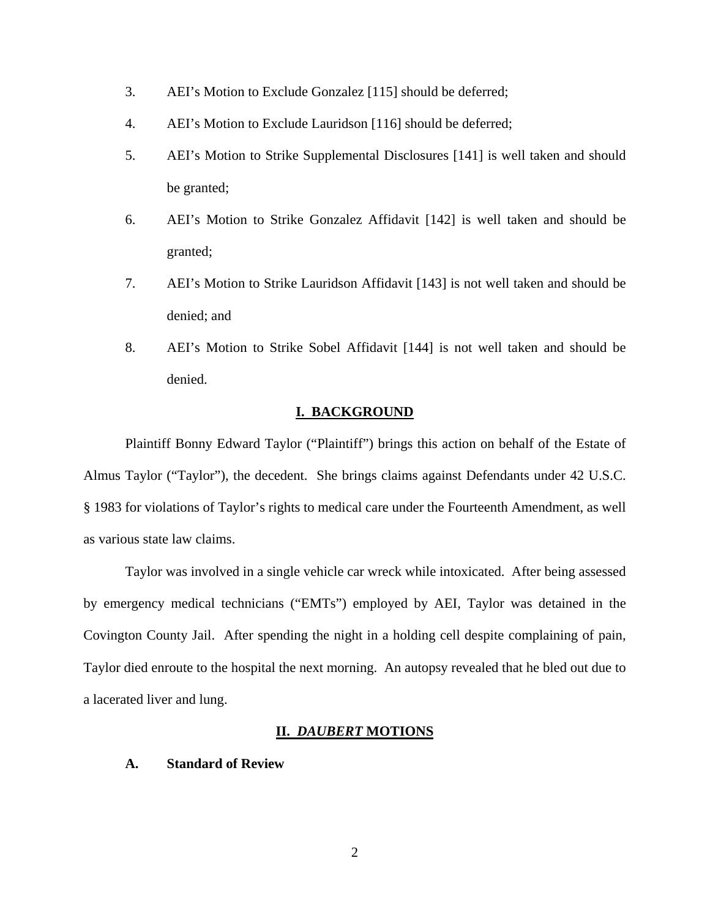- 3. AEI's Motion to Exclude Gonzalez [115] should be deferred;
- 4. AEI's Motion to Exclude Lauridson [116] should be deferred;
- 5. AEI's Motion to Strike Supplemental Disclosures [141] is well taken and should be granted;
- 6. AEI's Motion to Strike Gonzalez Affidavit [142] is well taken and should be granted;
- 7. AEI's Motion to Strike Lauridson Affidavit [143] is not well taken and should be denied; and
- 8. AEI's Motion to Strike Sobel Affidavit [144] is not well taken and should be denied.

## **I. BACKGROUND**

 Plaintiff Bonny Edward Taylor ("Plaintiff") brings this action on behalf of the Estate of Almus Taylor ("Taylor"), the decedent. She brings claims against Defendants under 42 U.S.C. § 1983 for violations of Taylor's rights to medical care under the Fourteenth Amendment, as well as various state law claims.

 Taylor was involved in a single vehicle car wreck while intoxicated. After being assessed by emergency medical technicians ("EMTs") employed by AEI, Taylor was detained in the Covington County Jail. After spending the night in a holding cell despite complaining of pain, Taylor died enroute to the hospital the next morning. An autopsy revealed that he bled out due to a lacerated liver and lung.

#### **II.** *DAUBERT* **MOTIONS**

## **A. Standard of Review**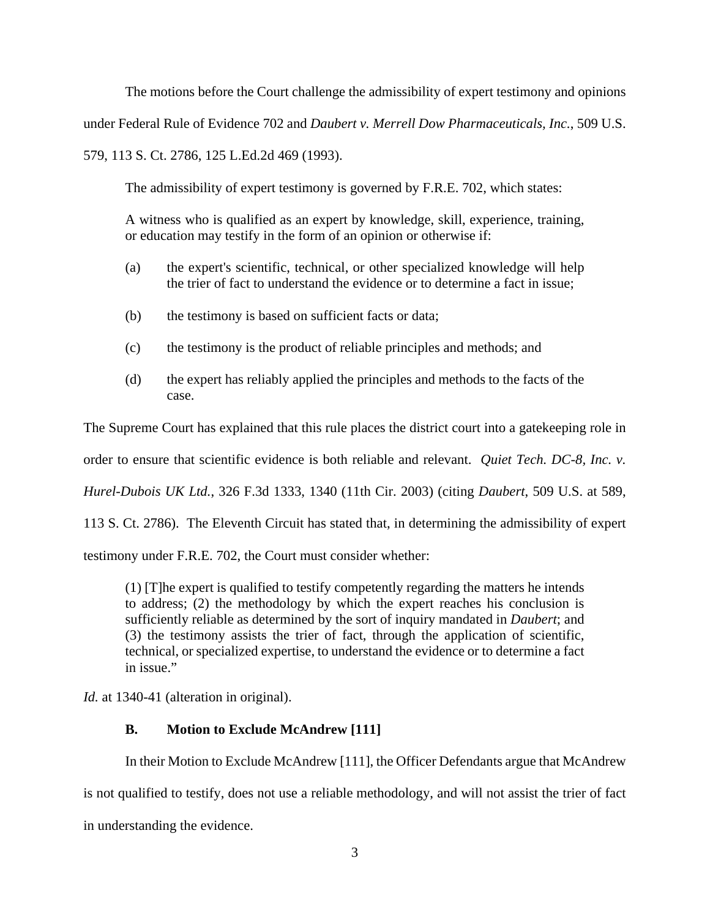The motions before the Court challenge the admissibility of expert testimony and opinions

under Federal Rule of Evidence 702 and *Daubert v. Merrell Dow Pharmaceuticals, Inc.*, 509 U.S.

579, 113 S. Ct. 2786, 125 L.Ed.2d 469 (1993).

The admissibility of expert testimony is governed by F.R.E. 702, which states:

A witness who is qualified as an expert by knowledge, skill, experience, training, or education may testify in the form of an opinion or otherwise if:

- (a) the expert's scientific, technical, or other specialized knowledge will help the trier of fact to understand the evidence or to determine a fact in issue;
- (b) the testimony is based on sufficient facts or data;
- (c) the testimony is the product of reliable principles and methods; and
- (d) the expert has reliably applied the principles and methods to the facts of the case.

The Supreme Court has explained that this rule places the district court into a gatekeeping role in

order to ensure that scientific evidence is both reliable and relevant. *Quiet Tech. DC-8, Inc. v.* 

*Hurel-Dubois UK Ltd.*, 326 F.3d 1333, 1340 (11th Cir. 2003) (citing *Daubert*, 509 U.S. at 589,

113 S. Ct. 2786). The Eleventh Circuit has stated that, in determining the admissibility of expert

testimony under F.R.E. 702, the Court must consider whether:

(1) [T]he expert is qualified to testify competently regarding the matters he intends to address; (2) the methodology by which the expert reaches his conclusion is sufficiently reliable as determined by the sort of inquiry mandated in *Daubert*; and (3) the testimony assists the trier of fact, through the application of scientific, technical, or specialized expertise, to understand the evidence or to determine a fact in issue."

*Id.* at 1340-41 (alteration in original).

# **B. Motion to Exclude McAndrew [111]**

In their Motion to Exclude McAndrew [111], the Officer Defendants argue that McAndrew

is not qualified to testify, does not use a reliable methodology, and will not assist the trier of fact

in understanding the evidence.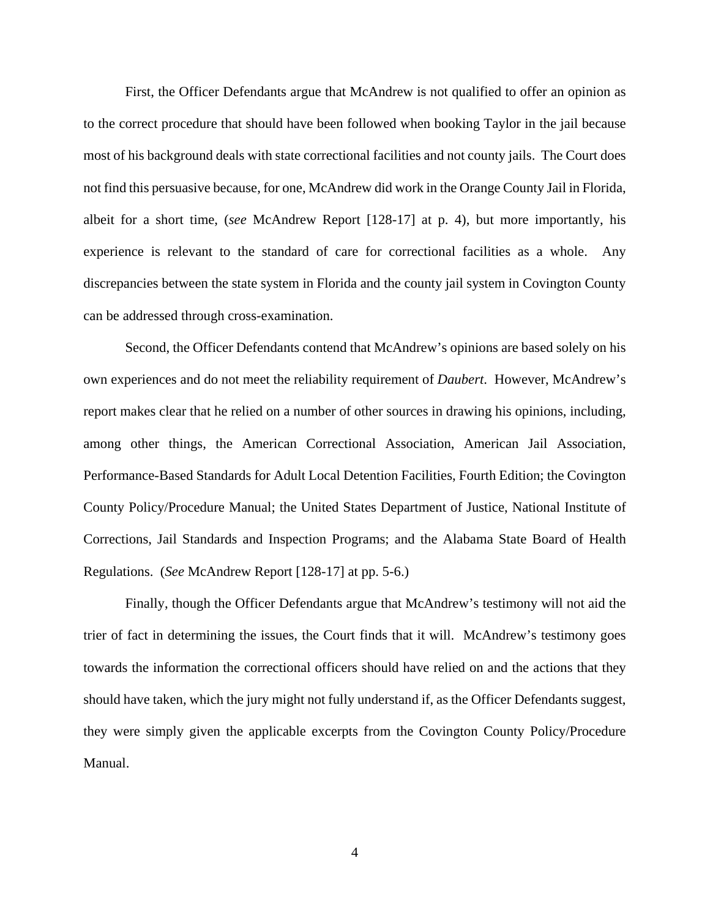First, the Officer Defendants argue that McAndrew is not qualified to offer an opinion as to the correct procedure that should have been followed when booking Taylor in the jail because most of his background deals with state correctional facilities and not county jails. The Court does not find this persuasive because, for one, McAndrew did work in the Orange County Jail in Florida, albeit for a short time, (*see* McAndrew Report [128-17] at p. 4), but more importantly, his experience is relevant to the standard of care for correctional facilities as a whole. Any discrepancies between the state system in Florida and the county jail system in Covington County can be addressed through cross-examination.

 Second, the Officer Defendants contend that McAndrew's opinions are based solely on his own experiences and do not meet the reliability requirement of *Daubert*. However, McAndrew's report makes clear that he relied on a number of other sources in drawing his opinions, including, among other things, the American Correctional Association, American Jail Association, Performance-Based Standards for Adult Local Detention Facilities, Fourth Edition; the Covington County Policy/Procedure Manual; the United States Department of Justice, National Institute of Corrections, Jail Standards and Inspection Programs; and the Alabama State Board of Health Regulations. (*See* McAndrew Report [128-17] at pp. 5-6.)

 Finally, though the Officer Defendants argue that McAndrew's testimony will not aid the trier of fact in determining the issues, the Court finds that it will. McAndrew's testimony goes towards the information the correctional officers should have relied on and the actions that they should have taken, which the jury might not fully understand if, as the Officer Defendants suggest, they were simply given the applicable excerpts from the Covington County Policy/Procedure Manual.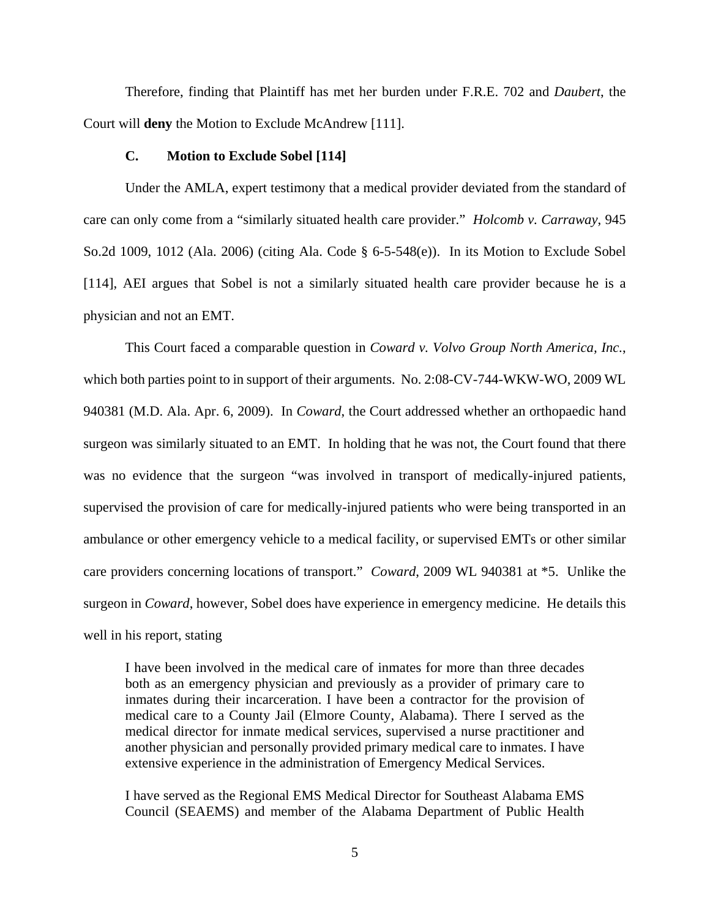Therefore, finding that Plaintiff has met her burden under F.R.E. 702 and *Daubert*, the Court will **deny** the Motion to Exclude McAndrew [111].

## **C. Motion to Exclude Sobel [114]**

 Under the AMLA, expert testimony that a medical provider deviated from the standard of care can only come from a "similarly situated health care provider." *Holcomb v. Carraway*, 945 So.2d 1009, 1012 (Ala. 2006) (citing Ala. Code § 6-5-548(e)). In its Motion to Exclude Sobel [114], AEI argues that Sobel is not a similarly situated health care provider because he is a physician and not an EMT.

 This Court faced a comparable question in *Coward v. Volvo Group North America, Inc.*, which both parties point to in support of their arguments. No. 2:08-CV-744-WKW-WO, 2009 WL 940381 (M.D. Ala. Apr. 6, 2009). In *Coward*, the Court addressed whether an orthopaedic hand surgeon was similarly situated to an EMT. In holding that he was not, the Court found that there was no evidence that the surgeon "was involved in transport of medically-injured patients, supervised the provision of care for medically-injured patients who were being transported in an ambulance or other emergency vehicle to a medical facility, or supervised EMTs or other similar care providers concerning locations of transport." *Coward*, 2009 WL 940381 at \*5. Unlike the surgeon in *Coward*, however, Sobel does have experience in emergency medicine. He details this well in his report, stating

I have been involved in the medical care of inmates for more than three decades both as an emergency physician and previously as a provider of primary care to inmates during their incarceration. I have been a contractor for the provision of medical care to a County Jail (Elmore County, Alabama). There I served as the medical director for inmate medical services, supervised a nurse practitioner and another physician and personally provided primary medical care to inmates. I have extensive experience in the administration of Emergency Medical Services.

I have served as the Regional EMS Medical Director for Southeast Alabama EMS Council (SEAEMS) and member of the Alabama Department of Public Health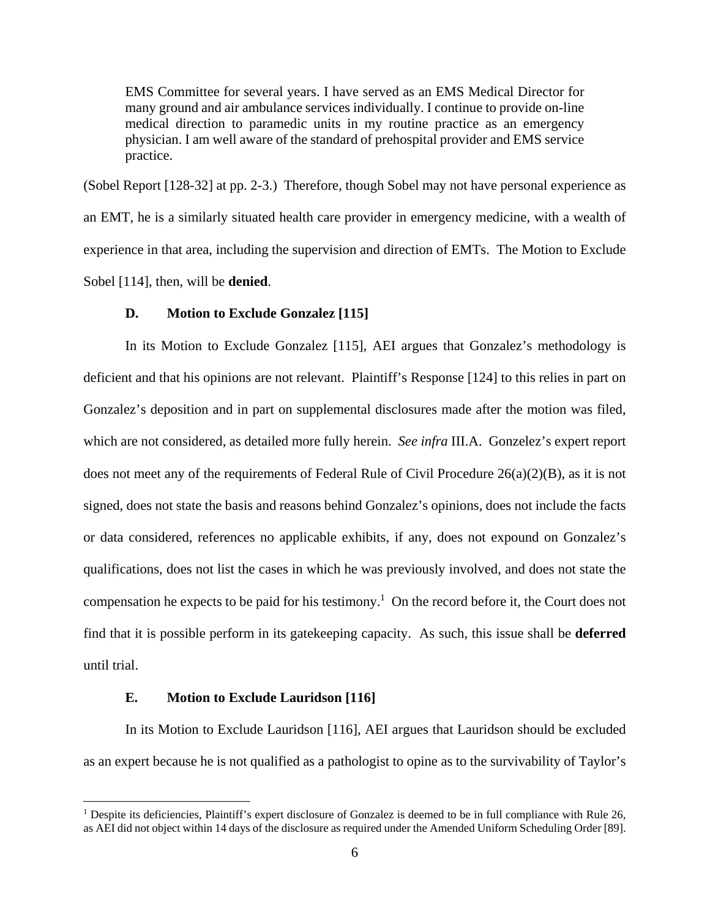EMS Committee for several years. I have served as an EMS Medical Director for many ground and air ambulance services individually. I continue to provide on-line medical direction to paramedic units in my routine practice as an emergency physician. I am well aware of the standard of prehospital provider and EMS service practice.

(Sobel Report [128-32] at pp. 2-3.) Therefore, though Sobel may not have personal experience as an EMT, he is a similarly situated health care provider in emergency medicine, with a wealth of experience in that area, including the supervision and direction of EMTs. The Motion to Exclude Sobel [114], then, will be **denied**.

## **D. Motion to Exclude Gonzalez [115]**

 In its Motion to Exclude Gonzalez [115], AEI argues that Gonzalez's methodology is deficient and that his opinions are not relevant. Plaintiff's Response [124] to this relies in part on Gonzalez's deposition and in part on supplemental disclosures made after the motion was filed, which are not considered, as detailed more fully herein. *See infra* III.A. Gonzelez's expert report does not meet any of the requirements of Federal Rule of Civil Procedure  $26(a)(2)(B)$ , as it is not signed, does not state the basis and reasons behind Gonzalez's opinions, does not include the facts or data considered, references no applicable exhibits, if any, does not expound on Gonzalez's qualifications, does not list the cases in which he was previously involved, and does not state the compensation he expects to be paid for his testimony.<sup>1</sup> On the record before it, the Court does not find that it is possible perform in its gatekeeping capacity. As such, this issue shall be **deferred** until trial.

## **E. Motion to Exclude Lauridson [116]**

 $\overline{a}$ 

In its Motion to Exclude Lauridson [116], AEI argues that Lauridson should be excluded as an expert because he is not qualified as a pathologist to opine as to the survivability of Taylor's

<sup>&</sup>lt;sup>1</sup> Despite its deficiencies, Plaintiff's expert disclosure of Gonzalez is deemed to be in full compliance with Rule 26, as AEI did not object within 14 days of the disclosure as required under the Amended Uniform Scheduling Order [89].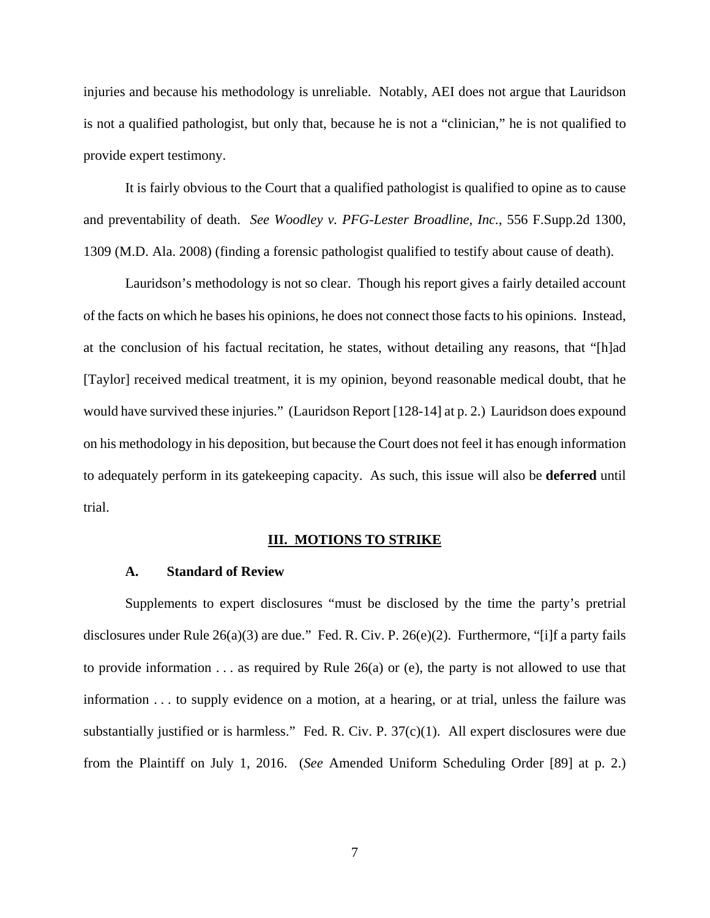injuries and because his methodology is unreliable. Notably, AEI does not argue that Lauridson is not a qualified pathologist, but only that, because he is not a "clinician," he is not qualified to provide expert testimony.

 It is fairly obvious to the Court that a qualified pathologist is qualified to opine as to cause and preventability of death. *See Woodley v. PFG-Lester Broadline, Inc.*, 556 F.Supp.2d 1300, 1309 (M.D. Ala. 2008) (finding a forensic pathologist qualified to testify about cause of death).

 Lauridson's methodology is not so clear. Though his report gives a fairly detailed account of the facts on which he bases his opinions, he does not connect those facts to his opinions. Instead, at the conclusion of his factual recitation, he states, without detailing any reasons, that "[h]ad [Taylor] received medical treatment, it is my opinion, beyond reasonable medical doubt, that he would have survived these injuries." (Lauridson Report [128-14] at p. 2.) Lauridson does expound on his methodology in his deposition, but because the Court does not feel it has enough information to adequately perform in its gatekeeping capacity. As such, this issue will also be **deferred** until trial.

## **III. MOTIONS TO STRIKE**

#### **A. Standard of Review**

 Supplements to expert disclosures "must be disclosed by the time the party's pretrial disclosures under Rule 26(a)(3) are due." Fed. R. Civ. P. 26(e)(2). Furthermore, "[i]f a party fails to provide information . . . as required by Rule 26(a) or (e), the party is not allowed to use that information . . . to supply evidence on a motion, at a hearing, or at trial, unless the failure was substantially justified or is harmless." Fed. R. Civ. P. 37(c)(1). All expert disclosures were due from the Plaintiff on July 1, 2016. (*See* Amended Uniform Scheduling Order [89] at p. 2.)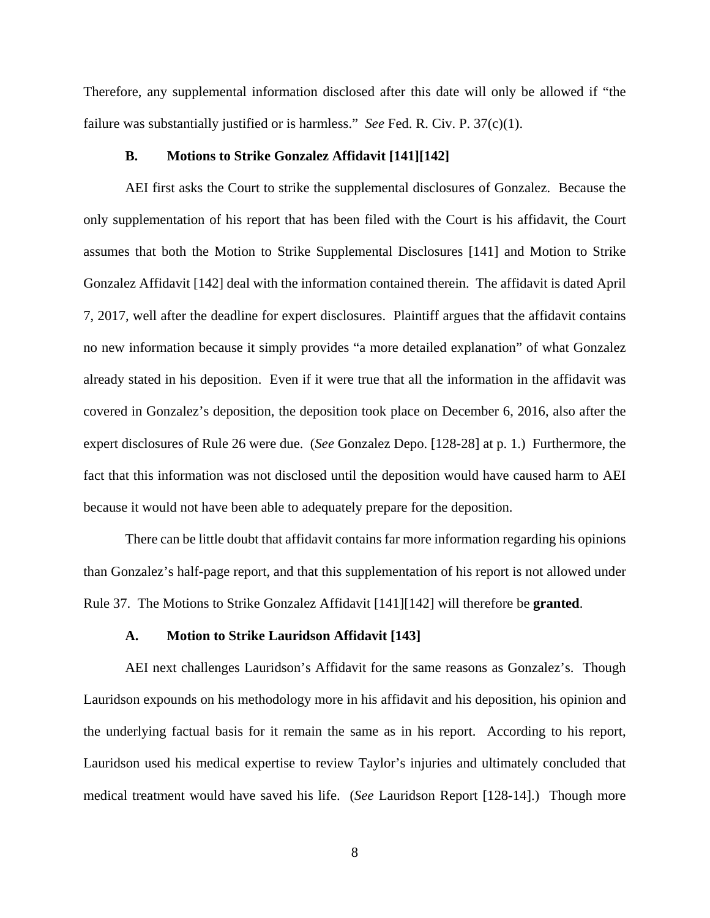Therefore, any supplemental information disclosed after this date will only be allowed if "the failure was substantially justified or is harmless." *See* Fed. R. Civ. P. 37(c)(1).

## **B. Motions to Strike Gonzalez Affidavit [141][142]**

 AEI first asks the Court to strike the supplemental disclosures of Gonzalez. Because the only supplementation of his report that has been filed with the Court is his affidavit, the Court assumes that both the Motion to Strike Supplemental Disclosures [141] and Motion to Strike Gonzalez Affidavit [142] deal with the information contained therein. The affidavit is dated April 7, 2017, well after the deadline for expert disclosures. Plaintiff argues that the affidavit contains no new information because it simply provides "a more detailed explanation" of what Gonzalez already stated in his deposition. Even if it were true that all the information in the affidavit was covered in Gonzalez's deposition, the deposition took place on December 6, 2016, also after the expert disclosures of Rule 26 were due. (*See* Gonzalez Depo. [128-28] at p. 1.) Furthermore, the fact that this information was not disclosed until the deposition would have caused harm to AEI because it would not have been able to adequately prepare for the deposition.

 There can be little doubt that affidavit contains far more information regarding his opinions than Gonzalez's half-page report, and that this supplementation of his report is not allowed under Rule 37. The Motions to Strike Gonzalez Affidavit [141][142] will therefore be **granted**.

#### **A. Motion to Strike Lauridson Affidavit [143]**

 AEI next challenges Lauridson's Affidavit for the same reasons as Gonzalez's. Though Lauridson expounds on his methodology more in his affidavit and his deposition, his opinion and the underlying factual basis for it remain the same as in his report. According to his report, Lauridson used his medical expertise to review Taylor's injuries and ultimately concluded that medical treatment would have saved his life. (*See* Lauridson Report [128-14].) Though more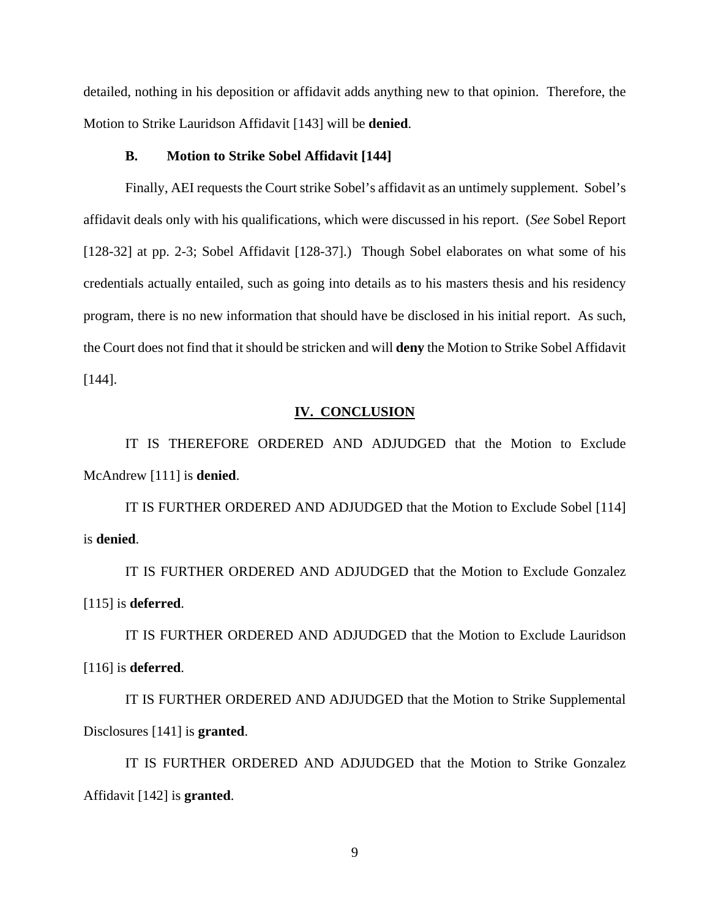detailed, nothing in his deposition or affidavit adds anything new to that opinion. Therefore, the Motion to Strike Lauridson Affidavit [143] will be **denied**.

## **B. Motion to Strike Sobel Affidavit [144]**

 Finally, AEI requests the Court strike Sobel's affidavit as an untimely supplement. Sobel's affidavit deals only with his qualifications, which were discussed in his report. (*See* Sobel Report [128-32] at pp. 2-3; Sobel Affidavit [128-37].) Though Sobel elaborates on what some of his credentials actually entailed, such as going into details as to his masters thesis and his residency program, there is no new information that should have be disclosed in his initial report. As such, the Court does not find that it should be stricken and will **deny** the Motion to Strike Sobel Affidavit [144].

#### **IV. CONCLUSION**

 IT IS THEREFORE ORDERED AND ADJUDGED that the Motion to Exclude McAndrew [111] is **denied**.

 IT IS FURTHER ORDERED AND ADJUDGED that the Motion to Exclude Sobel [114] is **denied**.

 IT IS FURTHER ORDERED AND ADJUDGED that the Motion to Exclude Gonzalez [115] is **deferred**.

 IT IS FURTHER ORDERED AND ADJUDGED that the Motion to Exclude Lauridson [116] is **deferred**.

 IT IS FURTHER ORDERED AND ADJUDGED that the Motion to Strike Supplemental Disclosures [141] is **granted**.

 IT IS FURTHER ORDERED AND ADJUDGED that the Motion to Strike Gonzalez Affidavit [142] is **granted**.

9